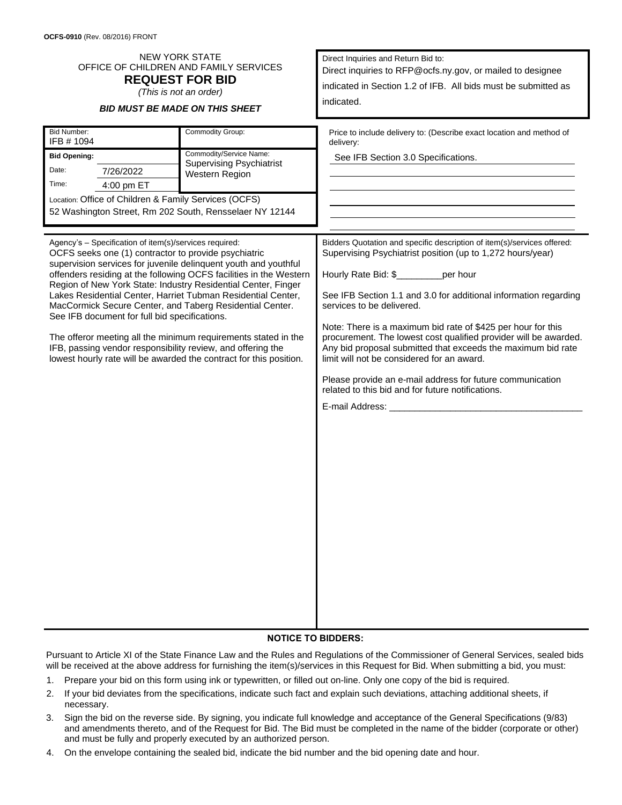| <b>NEW YORK STATE</b><br>OFFICE OF CHILDREN AND FAMILY SERVICES<br><b>REQUEST FOR BID</b><br>(This is not an order)<br><b>BID MUST BE MADE ON THIS SHEET</b>                                                                                                                                                                                                                                                                                                                                                                                                                                                                                       |                                                                                                  | Direct Inquiries and Return Bid to:<br>Direct inquiries to RFP@ocfs.ny.gov, or mailed to designee<br>indicated in Section 1.2 of IFB. All bids must be submitted as<br>indicated.                                                                                                                                                                                                                                                                                                                        |  |  |  |
|----------------------------------------------------------------------------------------------------------------------------------------------------------------------------------------------------------------------------------------------------------------------------------------------------------------------------------------------------------------------------------------------------------------------------------------------------------------------------------------------------------------------------------------------------------------------------------------------------------------------------------------------------|--------------------------------------------------------------------------------------------------|----------------------------------------------------------------------------------------------------------------------------------------------------------------------------------------------------------------------------------------------------------------------------------------------------------------------------------------------------------------------------------------------------------------------------------------------------------------------------------------------------------|--|--|--|
| <b>Bid Number:</b><br>IFB #1094<br><b>Bid Opening:</b><br>Date:<br>7/26/2022<br>Time:<br>4:00 pm ET<br>Location: Office of Children & Family Services (OCFS)<br>52 Washington Street, Rm 202 South, Rensselaer NY 12144<br>Agency's - Specification of item(s)/services required:                                                                                                                                                                                                                                                                                                                                                                  | Commodity Group:<br>Commodity/Service Name:<br><b>Supervising Psychiatrist</b><br>Western Region | Price to include delivery to: (Describe exact location and method of<br>delivery:<br>See IFB Section 3.0 Specifications.<br>Bidders Quotation and specific description of item(s)/services offered:<br>Supervising Psychiatrist position (up to 1,272 hours/year)                                                                                                                                                                                                                                        |  |  |  |
| OCFS seeks one (1) contractor to provide psychiatric<br>supervision services for juvenile delinquent youth and youthful<br>offenders residing at the following OCFS facilities in the Western<br>Region of New York State: Industry Residential Center, Finger<br>Lakes Residential Center, Harriet Tubman Residential Center,<br>MacCormick Secure Center, and Taberg Residential Center.<br>See IFB document for full bid specifications.<br>The offeror meeting all the minimum requirements stated in the<br>IFB, passing vendor responsibility review, and offering the<br>lowest hourly rate will be awarded the contract for this position. |                                                                                                  | Hourly Rate Bid: \$________per hour<br>See IFB Section 1.1 and 3.0 for additional information regarding<br>services to be delivered.<br>Note: There is a maximum bid rate of \$425 per hour for this<br>procurement. The lowest cost qualified provider will be awarded.<br>Any bid proposal submitted that exceeds the maximum bid rate<br>limit will not be considered for an award.<br>Please provide an e-mail address for future communication<br>related to this bid and for future notifications. |  |  |  |

## **NOTICE TO BIDDERS:**

Pursuant to Article XI of the State Finance Law and the Rules and Regulations of the Commissioner of General Services, sealed bids will be received at the above address for furnishing the item(s)/services in this Request for Bid. When submitting a bid, you must:

- 1. Prepare your bid on this form using ink or typewritten, or filled out on-line. Only one copy of the bid is required.
- 2. If your bid deviates from the specifications, indicate such fact and explain such deviations, attaching additional sheets, if necessary.
- 3. Sign the bid on the reverse side. By signing, you indicate full knowledge and acceptance of the General Specifications (9/83) and amendments thereto, and of the Request for Bid. The Bid must be completed in the name of the bidder (corporate or other) and must be fully and properly executed by an authorized person.
- 4. On the envelope containing the sealed bid, indicate the bid number and the bid opening date and hour.